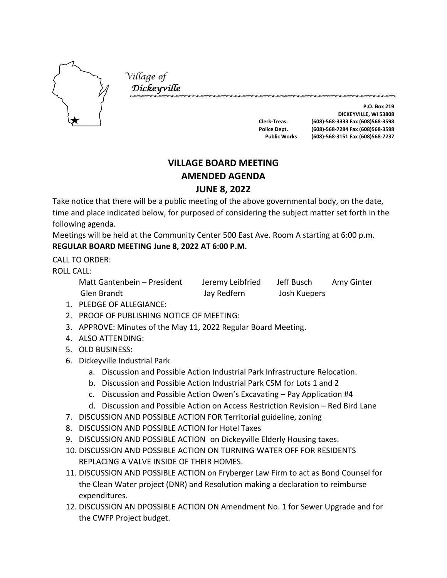

*Village of Dickeyville* 

**P.O. Box 219 DICKEYVILLE, WI 53808 Clerk-Treas. (608)-568-3333 Fax (608)568-3598 Police Dept. (608)-568-7284 Fax (608)568-3598 Public Works (608)-568-3151 Fax (608)568-7237**

# **VILLAGE BOARD MEETING AMENDED AGENDA JUNE 8, 2022**

Take notice that there will be a public meeting of the above governmental body, on the date, time and place indicated below, for purposed of considering the subject matter set forth in the following agenda.

Meetings will be held at the Community Center 500 East Ave. Room A starting at 6:00 p.m. **REGULAR BOARD MEETING June 8, 2022 AT 6:00 P.M.**

CALL TO ORDER:

ROLL CALL:

Matt Gantenbein – President Jeremy Leibfried Jeff Busch Amy Ginter Glen Brandt Jay Redfern Josh Kuepers

- 1. PLEDGE OF ALLEGIANCE:
- 2. PROOF OF PUBLISHING NOTICE OF MEETING:
- 3. APPROVE: Minutes of the May 11, 2022 Regular Board Meeting.
- 4. ALSO ATTENDING:
- 5. OLD BUSINESS:
- 6. Dickeyville Industrial Park
	- a. Discussion and Possible Action Industrial Park Infrastructure Relocation.
	- b. Discussion and Possible Action Industrial Park CSM for Lots 1 and 2
	- c. Discussion and Possible Action Owen's Excavating Pay Application #4
	- d. Discussion and Possible Action on Access Restriction Revision Red Bird Lane
- 7. DISCUSSION AND POSSIBLE ACTION FOR Territorial guideline, zoning
- 8. DISCUSSION AND POSSIBLE ACTION for Hotel Taxes
- 9. DISCUSSION AND POSSIBLE ACTION on Dickeyville Elderly Housing taxes.
- 10. DISCUSSION AND POSSIBLE ACTION ON TURNING WATER OFF FOR RESIDENTS REPLACING A VALVE INSIDE OF THEIR HOMES.
- 11. DISCUSSION AND POSSIBLE ACTION on Fryberger Law Firm to act as Bond Counsel for the Clean Water project (DNR) and Resolution making a declaration to reimburse expenditures.
- 12. DISCUSSION AN DPOSSIBLE ACTION ON Amendment No. 1 for Sewer Upgrade and for the CWFP Project budget.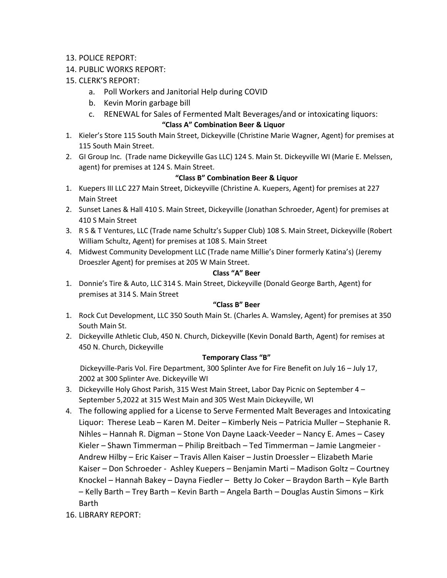- 13. POLICE REPORT:
- 14. PUBLIC WORKS REPORT:
- 15. CLERK'S REPORT:
	- a. Poll Workers and Janitorial Help during COVID
	- b. Kevin Morin garbage bill
	- c. RENEWAL for Sales of Fermented Malt Beverages/and or intoxicating liquors:

## **"Class A" Combination Beer & Liquor**

- 1. Kieler's Store 115 South Main Street, Dickeyville (Christine Marie Wagner, Agent) for premises at 115 South Main Street.
- 2. GI Group Inc. (Trade name Dickeyville Gas LLC) 124 S. Main St. Dickeyville WI (Marie E. Melssen, agent) for premises at 124 S. Main Street.

# **"Class B" Combination Beer & Liquor**

- 1. Kuepers III LLC 227 Main Street, Dickeyville (Christine A. Kuepers, Agent) for premises at 227 Main Street
- 2. Sunset Lanes & Hall 410 S. Main Street, Dickeyville (Jonathan Schroeder, Agent) for premises at 410 S Main Street
- 3. R S & T Ventures, LLC (Trade name Schultz's Supper Club) 108 S. Main Street, Dickeyville (Robert William Schultz, Agent) for premises at 108 S. Main Street
- 4. Midwest Community Development LLC (Trade name Millie's Diner formerly Katina's) (Jeremy Droeszler Agent) for premises at 205 W Main Street.

### **Class "A" Beer**

1. Donnie's Tire & Auto, LLC 314 S. Main Street, Dickeyville (Donald George Barth, Agent) for premises at 314 S. Main Street

## **"Class B" Beer**

- 1. Rock Cut Development, LLC 350 South Main St. (Charles A. Wamsley, Agent) for premises at 350 South Main St.
- 2. Dickeyville Athletic Club, 450 N. Church, Dickeyville (Kevin Donald Barth, Agent) for remises at 450 N. Church, Dickeyville

### **Temporary Class "B"**

Dickeyville-Paris Vol. Fire Department, 300 Splinter Ave for Fire Benefit on July 16 – July 17, 2002 at 300 Splinter Ave. Dickeyville WI

- 3. Dickeyville Holy Ghost Parish, 315 West Main Street, Labor Day Picnic on September 4 September 5,2022 at 315 West Main and 305 West Main Dickeyville, WI
- 4. The following applied for a License to Serve Fermented Malt Beverages and Intoxicating Liquor: Therese Leab – Karen M. Deiter – Kimberly Neis – Patricia Muller – Stephanie R. Nihles – Hannah R. Digman – Stone Von Dayne Laack-Veeder – Nancy E. Ames – Casey Kieler – Shawn Timmerman – Philip Breitbach – Ted Timmerman – Jamie Langmeier - Andrew Hilby – Eric Kaiser – Travis Allen Kaiser – Justin Droessler – Elizabeth Marie Kaiser – Don Schroeder - Ashley Kuepers – Benjamin Marti – Madison Goltz – Courtney Knockel – Hannah Bakey – Dayna Fiedler – Betty Jo Coker – Braydon Barth – Kyle Barth – Kelly Barth – Trey Barth – Kevin Barth – Angela Barth – Douglas Austin Simons – Kirk Barth
- 16. LIBRARY REPORT: